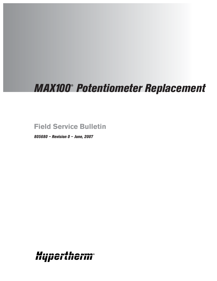# *MAX100* **®** *Potentiometer Replacement*

## **Field Service Bulletin**

*805680 – Revision 0 – June, 2007*

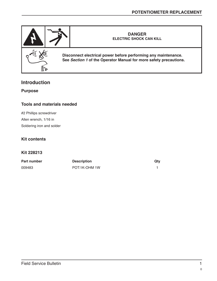

#### **Introduction**

**Purpose**

#### **Tools and materials needed**

#2 Phillips screwdriver Allen wrench, 1/16 in Soldering iron and solder

#### **Kit contents**

#### **Kit 228213**

| <b>Part number</b> | <b>Description</b> | Qtv |
|--------------------|--------------------|-----|
| 009483             | POT:1K-OHM 1W      |     |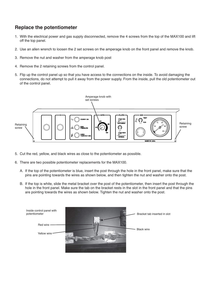### **Replace the potentiometer**

- 1. With the electrical power and gas supply disconnected, remove the 4 screws from the top of the MAX100 and lift off the top panel.
- 2. Use an allen wrench to loosen the 2 set screws on the amperage knob on the front panel and remove the knob.
- 3. Remove the nut and washer from the amperage knob post
- 4. Remove the 2 retaining screws from the control panel.
- 5. Flip up the control panel up so that you have access to the connections on the inside. To avoid damaging the connections, do not attempt to pull it away from the power supply. From the inside, pull the old potentiometer out of the control panel.



- 5. Cut the red, yellow, and black wires as close to the potentiometer as possible.
- 6. There are two possible potentiometer replacements for the MAX100.
	- A. If the top of the potentiometer is blue, insert the post through the hole in the front panel, make sure that the pins are pointing towards the wires as shown below, and then tighten the nut and washer onto the post.
	- B. If the top is white, slide the metal bracket over the post of the potentiometer, then insert the post through the hole in the front panel. Make sure the tab on the bracket rests in the slot in the front panel and that the pins are pointing towards the wires as shown below. Tighten the nut and washer onto the post.

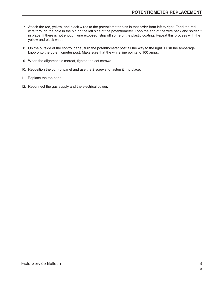- 7. Attach the red, yellow, and black wires to the potentiometer pins in that order from left to right. Feed the red wire through the hole in the pin on the left side of the potentiometer. Loop the end of the wire back and solder it in place. If there is not enough wire exposed, strip off some of the plastic coating. Repeat this process with the yellow and black wires.
- 8. On the outside of the control panel, turn the potentiometer post all the way to the right. Push the amperage knob onto the potentiometer post. Make sure that the white line points to 100 amps.
- 9. When the alignment is correct, tighten the set screws.
- 10. Reposition the control panel and use the 2 screws to fasten it into place.
- 11. Replace the top panel.
- 12. Reconnect the gas supply and the electrical power.